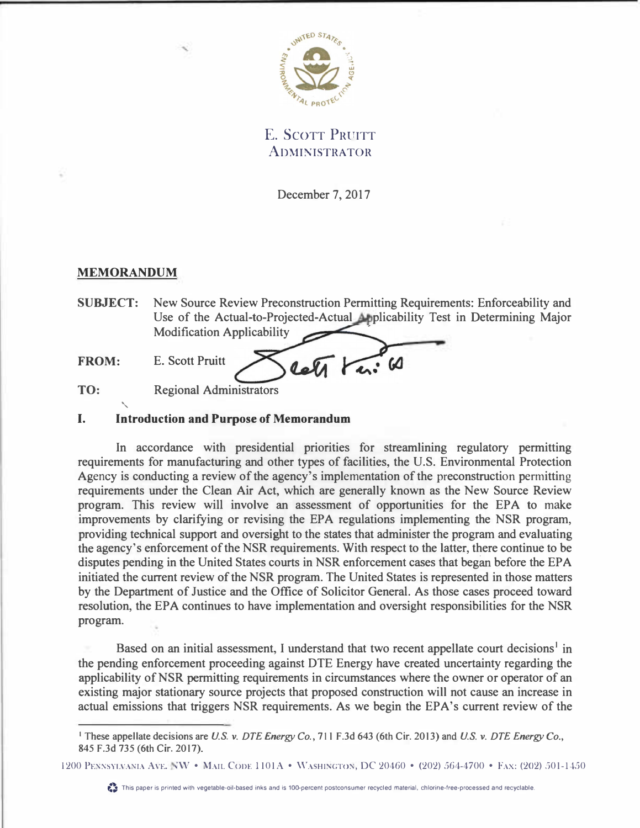

E. SCOTT PRUITT **ADMINISTRATOR** 

December 7, 2017

# **MEMORANDUM**

**SUBJECT:** New Source Review Preconstruction Permitting Requirements: Enforceability and Use of the Actual-to-Projected-Actual Applicability Test in Determining Major Modification Applicability

**FROM:** E. Scott Pruitt

**TO:** Regional Administrators '

## **I. Introduction and Purpose of Memorandum**

In accordance with presidential priorities for streamlining regulatory permitting requirements for manufacturing and other types of facilities, the U.S. Environmental Protection Agency is conducting a review of the agency's implementation of the preconstruction permitting requirements under the Clean Air Act, which are generally known as the New Source Review program. This review will involve an assessment of opportunities for the EPA to make improvements by clarifying or revising the EPA regulations implementing the NSR program, providing technical support and oversight to the states that administer the program and evaluating the agency's enforcement of the NSR requirements. With respect to the latter, there continue to be disputes pending in the United States courts in NSR enforcement cases that began before the EPA initiated the current review of the NSR program. The United States is represented in those matters by the Department of Justice and the Office of Solicitor General. As those cases proceed toward resolution, the EPA continues to have implementation and oversight responsibilities for the NSR program.

Based on an initial assessment, I understand that two recent appellate court decisions<sup>1</sup> in the pending enforcement proceeding against DTE Energy have created uncertainty regarding the applicability of NSR permitting requirements in circumstances where the owner or operator of an existing major stationary source projects that proposed construction will not cause an increase in actual emissions that triggers NSR requirements. As we begin the EPA's current review of the

<sup>1</sup>**These appellate decisions are** *U.S. v. DTE Energy Co.,* **711 F.3d 643 (6th Cir. 2013) and** *U.S. v. DTE Energy Co.,*  **845 F.3d 735 (6th Cir. 2017).** 

<sup>1200</sup> PENNSYLVANIA AVE. NW • MAIL CODE 1101A • WASHINGTON, DC 20460 • (202) 564-4700 • FAX: (202) 501-1450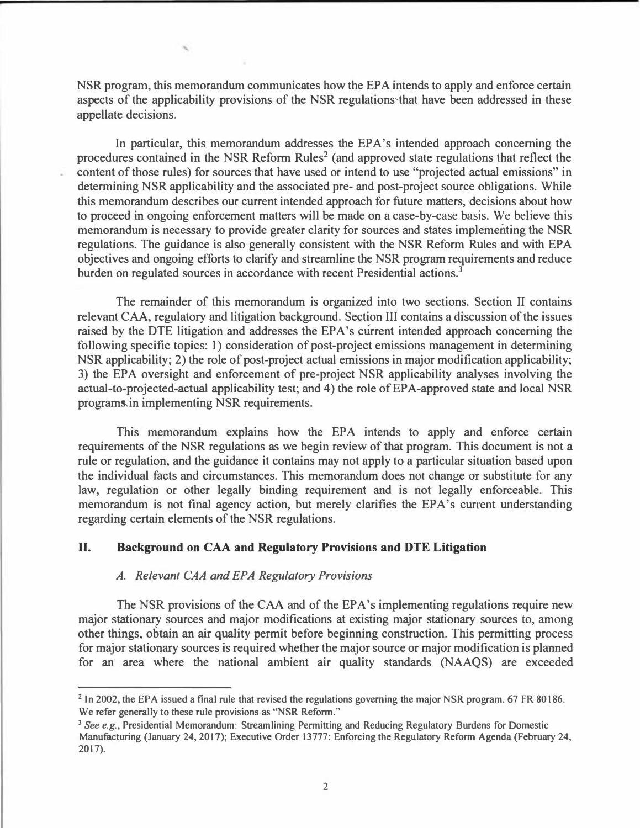**NSR program, this memorandum communicates how the EPA intends to apply and enforce certain aspects of the applicability provisions of the NSR regulations�that have been addressed in these appellate decisions.** 

**In particular, this memorandum addresses the EPA's intended approach concerning the procedures contained in the NSR Reform Rules<sup>2</sup>(and approved state regulations that reflect the content of those rules) for sources that have used or intend to use "projected actual emissions" in determining NSR applicability and the associated pre- and post-project source obligations. While this memorandum describes our current intended approach for future matters, decisions about how to proceed in ongoing enforcement matters will be made on a case-by-case basis. We believe this memorandum is necessary to provide greater clarity for sources and states implementing the NSR regulations. The guidance is also generally consistent with the NSR Reform Rules and with EPA objectives and ongoing efforts to clarify and streamline the NSR program requirements and reduce burden on regulated sources in accordance with recent Presidential actions.<sup>3</sup>**

**The remainder of this memorandum is organized into two sections. Section II contains relevant CAA, regulatory and litigation background. Section III contains a discussion of the issues**  raised by the DTE litigation and addresses the EPA's current intended approach concerning the **following specific topics: 1) consideration of post-project emissions management in determining NSR applicability; 2) the role of post-project actual emissions in major modification applicability; 3) the EPA oversight and enforcement of pre-project NSR applicability analyses involving the actual-to-projected-actual applicability test; and 4) the role of EPA-approved state and local NSR**  programs.in implementing NSR requirements.

**This memorandum explains how the EPA intends to apply and enforce certain requirements of the NSR regulations as we begin review of that program. This document is not a rule or regulation, and the guidance it contains may not apply to a particular situation based upon the individual facts and circumstances. This memorandum does not change or substitute for any law, regulation or other legally binding requirement and is not legally enforceable. This**  memorandum is not final agency action, but merely clarifies the EPA's current understanding **regarding certain elements of the NSR regulations.** 

## **II. Background on CAA and Regulatory Provisions and DTE Litigation**

#### *A. Relevant CAA and EPA Regulatory Provisions*

**The NSR provisions of the CAA and of the EPA's implementing regulations require new major stationary sources and major modifications at existing major stationary sources to, among other things, obtain an air quality permit before beginning construction. This permitting process for major stationary sources is required whether the major source or major modification is planned for an area where the national ambient air quality standards (NAAQS) are exceeded** 

**<sup>2</sup>In 2002, the EPA issued a final rule that revised the regulations governing the major NSR program. 67 FR 80186. We refer generally to these rule provisions as "NSR Reform."** 

**<sup>3</sup>***See e.g.,* **Presidential Memorandum: Streamlining Permitting and Reducing Regulatory Burdens for Domestic Manufacturing (January 24, 2017); Executive Order 13777: Enforcing the Regulatory Reform Agenda (February 24, 2017).**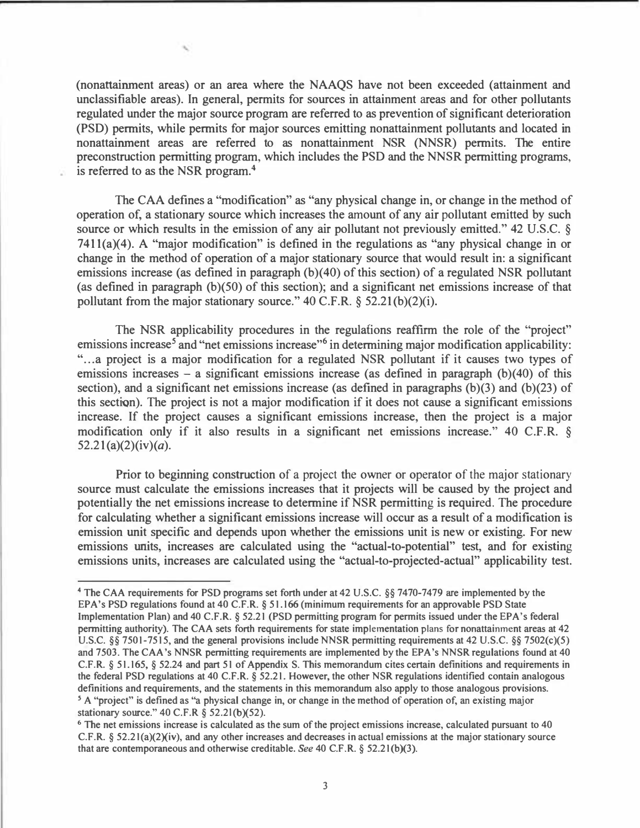(nonattainrnent areas) or an area where the NAAQS have not been exceeded (attainment and unclassifiable areas). In general, permits for sources in attainment areas and for other pollutants regulated under the major source program are referred to as prevention of significant deterioration (PSD) permits, while permits for major sources emitting nonattainment pollutants and located in nonattainrnent areas are referred to as nonattainment NSR (NNSR) permits. The entire preconstruction permitting program, which includes the PSD and the NNSR permitting programs, is referred to as the NSR program.**<sup>4</sup>**

The CAA defines a "modification" as "any physical change in, or change in the method of operation of, a stationary source which increases the amount of any air pollutant emitted by such source or which results in the emission of any air pollutant not previously emitted." 42 U.S.C. §  $7411(a)(4)$ . A "major modification" is defined in the regulations as "any physical change in or change in the method of operation of a major stationary source that would result in: a significant emissions increase (as defined in paragraph (b)(40) of this section) of a regulated NSR pollutant (as defined in paragraph  $(b)(50)$  of this section); and a significant net emissions increase of that pollutant from the major stationary source."  $40 \text{ C.F.R. }$  §  $52.21(b)(2)(i)$ .

The NSR applicability procedures in the regulafions reaffirm the role of the "project" emissions increase<sup>5</sup> and "net emissions increase"<sup>6</sup> in determining major modification applicability: "... a project is a major modification for a regulated NSR pollutant if it causes two types of emissions increases – a significant emissions increase (as defined in paragraph  $(b)(40)$  of this section), and a significant net emissions increase (as defined in paragraphs (b)(3) and (b)(23) of this section). The project is not a major modification if it does not cause a significant emissions increase. If the project causes a significant emissions increase, then the project is a major modification only if it also results in a significant net emissions increase." 40 C.F.R. §  $52.21(a)(2)(iv)(a)$ .

Prior to beginning construction of a project the owner or operator of the major stationary source must calculate the emissions increases that it projects will be caused by the project and potentially the net emissions increase to determine if NSR permitting is required. The procedure for calculating whether a significant emissions increase will occur as a result of a modification is emission unit specific and depends upon whether the emissions unit is new or existing. For new emissions units, increases are calculated using the "actual-to-potential" test, and for existing emissions units, increases are calculated using the "actual-to-projected-actual" applicability test.

**<sup>4</sup>**The CAA requirements for PSD programs set forth under at 42 U.S.C. §§ 7470-7479 are implemented by the EPA's PSD regulations found at 40 C.F.R. *§* 51.166 (minimum requirements for an approvable PSD State Implementation Plan) and 40 C.F.R. *§* 52.21 (PSD permitting program for permits issued under the EPA's federal permitting authority). The CAA sets forth requirements for state implementation plans for nonattainment areas at 42 U.S.C. §§ 7501-7515, and the general provisions include NNSR permitting requirements at 42 U.S.C. §§ 7502(c)(5) and 7503. The CAA 's NNSR permitting requirements are implemented by the EPA 's NNSR regulations found at 40 C.F.R. § 51.165, § 52.24 and part 51 of Appendix S. This memorandum cites certain definitions and requirements in the federal PSD regulations at 40 C.F.R. *§* 52.21. However, the other NSR regulations identified contain analogous definitions and requirements, and the statements in this memorandum also apply to those analogous provisions. *<sup>5</sup>*A "project" is defined as "a physical change in, or change in the method of operation of, an existing major stationary source." 40 C.F.R § 52.2l(b)(52).

<sup>&</sup>lt;sup>6</sup> The net emissions increase is calculated as the sum of the project emissions increase, calculated pursuant to 40  $C.F.R.$  §  $52.21(a)(2)(iv)$ , and any other increases and decreases in actual emissions at the major stationary source that are contemporaneous and otherwise creditable. *See* 40 C.F.R. § 52.21 (b)(3).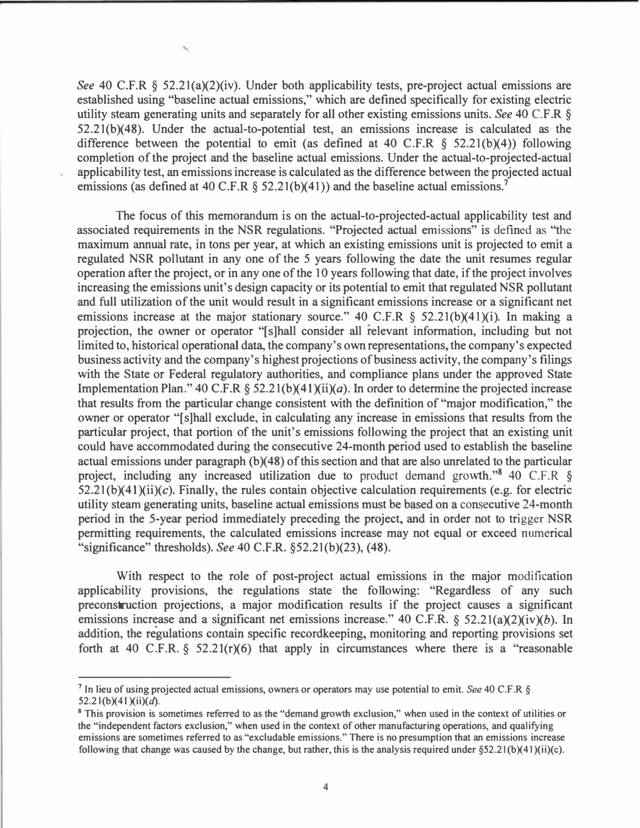*See* 40 C.F.R § 52.2l(a)(2)(iv). Under both applicability tests, pre-project actual emissions are established using "baseline actual emissions," which are defined specifically for existing electric utility steam generating units and separately for all other existing emissions units. *See* 40 C.F .R § 52.2l(b)(48). Under the actual-to-potential test, an emissions increase is calculated as the difference between the potential to emit (as defined at 40 C.F.R  $\S$  52.21(b)(4)) following completion of the project and the baseline actual emissions. Under the actual-to-projected-actual applicability test, an emissions increase is calculated as the difference between the projected actual emissions (as defined at 40 C.F.R § 52.2l(b)(41) ) and the baseline actual emissions.**<sup>7</sup>**

The focus of this memorandum is on the actual-to-projected-actual applicability test and associated requirements in the NSR regulations. "Projected actual emissions" is defined as "the maximum annual rate, in tons per year, at which an existing emissions unit is projected to emit a regulated NSR pollutant in any one of the 5 years following the date the unit resumes regular operation after the project, or in any one of the 10 years following that date, if the project involves increasing the emissions unit's design capacity or its potential to emit that regulated NSR pollutant and full utilization of the unit would result in a significant emissions increase or a significant net emissions increase at the major stationary source." 40 C.F.R § 52.21(b)(41)(i). In making a projection, the owner or operator "[s]hall consider all relevant information, including but not limited to, historical operational data, the company's own representations, the company's expected business activity and the company's highest projections of business activity, the company's filings with the State or Federal regulatory authorities, and compliance plans under the approved State Implementation Plan." 40 C.F.R § 52.21(b)(41)(ii)(*a*). In order to determine the projected increase that results from the particular change consistent with the definition of "major modification," the owner or operator "[s]hall exclude, in calculating any increase in emissions that results from the particular project, that portion of the unit's emissions following the project that an existing unit could have accommodated during the consecutive 24-month period used to establish the baseline actual emissions under paragraph  $(b)(48)$  of this section and that are also unrelated to the particular project, including any increased utilization due to product demand growth."**<sup>8</sup>**40 C.F.R §  $52.21(b)(41)(ii)(c)$ . Finally, the rules contain objective calculation requirements (e.g. for electric utility steam generating units, baseline actual emissions must be based on a consecutive 24-month period in the 5-year period immediately preceding the project, and in order not to trigger NSR permitting requirements, the calculated emissions increase may not equal or exceed numerical "significance" thresholds). *See* 40 C.F.R. §52.2l(b)(23), (48).

With respect to the role of post-project actual emissions in the major modification applicability provisions, the regulations state the following: "Regardless of any such preconstruction projections, a major modification results if the project causes a significant emissions increase and a significant net emissions increase." 40 C.F.R. *§* 52.2l(a)(2)(iv)(b). In addition, the regulations contain specific recordkeeping, monitoring and reporting provisions set forth at 40 C.F.R. *§* 52.21(r)(6) that apply in circumstances where there is a "reasonable

**<sup>7</sup>In lieu of using projected actual emissions, owners or operators may use potential to emit.** *See* **40 C.F.R §**  52.21(b)(41)(ii)(d).

**<sup>8</sup>This provision is sometimes referred to as the "demand growth exclusion," when used in the context of utilities or the "independent factors exclusion," when used in the context of other manufacturing operations, and qualifying emissions are sometimes referred to as "excludable emissions." There is no presumption that an emissions increase**  following that change was caused by the change, but rather, this is the analysis required under  $\S 52.21(b)(41)(ii)(c)$ .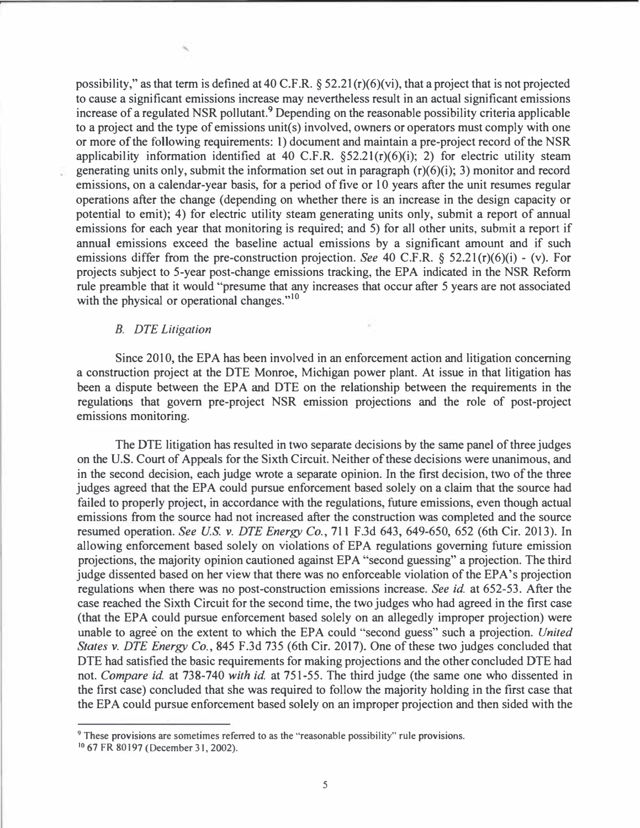**possibility," as that term is defined at 40 C.F.R. § 52.2 l (r)(6)(vi), that a project that is not projected to cause a significant emissions increase may nevertheless result in an actual significant emissions increase of a regulated NSR pollutant.**9 **Depending on the reasonable possibility criteria applicable to a project and the type of emissions unit(s) involved, owners or operators must comply with one or more of the following requirements: 1) document and maintain a pre-project record of the NSR applicability information identified at 40 C.F.R. §52.2l(r)(6)(i); 2) for electric utility steam generating units only, submit the information set out in paragraph (r)(6)(i); 3) monitor and record emissions, on a calendar-year basis, for a period of five or 10 years after the unit resumes regular operations after the change ( depending on whether there is an increase in the design capacity or potential to emit); 4) for electric utility steam generating units only, submit a report of annual emissions for each year that monitoring is required; and 5) for all other units, submit a report if annual emissions exceed the baseline actual emissions by a significant amount and if such emissions differ from the pre-construction projection.** *See* **40 C.F.R. § 52.21(r)(6)(i) - (v). For projects subject to 5-year post-change emissions tracking, the EPA indicated in the NSR Reform rule preamble that it would "presume that any increases that occur after 5 years are not associated with the physical or operational changes."**<sup>10</sup>

### *B. DTE Litigation*

**Since 2010, the EPA has been involved in an enforcement action and litigation concerning a construction project at the DTE Monroe, Michigan power plant. At issue in that litigation has been a dispute between the EPA and DTE on the relationship between the requirements in the regulations that govern pre-project NSR emission projections and the role of post-project emissions monitoring.** 

**The DTE litigation has resulted in two separate decisions by the same panel of three judges on the U.S. Court of Appeals for the Sixth Circuit. Neither of these decisions were unanimous, and in the second decision, each judge wrote a separate opinion. In the first decision, two of the three judges agreed that the EPA could pursue enforcement based solely on a claim that the source had failed to properly project, in accordance with the regulations, future emissions, even though actual emissions from the source had not increased after the construction was completed and the source resumed operation.** *See US. v. DTE Energy Co.,* **711 F.3d 643, 649-650, 652 (6th Cir. 2013). In allowing enforcement based solely on violations of EPA regulations governing future emission projections, the majority opinion cautioned against EPA "second guessing" a projection. The third judge dissented based on her view that there was no enforceable violation of the EPA's projection regulations when there was no post-construction emissions increase.** *See id.* **at 652-53. After the case reached the Sixth Circuit for the second time, the two judges who had agreed in the first case (that the EPA could pursue enforcement based solely on an allegedly improper projection) were**  unable to agree on the extent to which the EPA could "second guess" such a projection. *United States v. DTE Energy Co.,* **845 F.3d 735 (6th Cir. 2017). One of these two judges concluded that DTE had satisfied the basic requirements for making projections and the other concluded DTE had not.** *Compare id.* **at 738-740** *with id.* **at 751-55. The third judge (the same one who dissented in the first case) concluded that she was required to follow the majority holding in the first case that the EPA could pursue enforcement based solely on an improper projection and then sided with the** 

**<sup>9</sup>These provisions are sometimes referred to as the "reasonable possibility" rule provisions.** 

<sup>&</sup>lt;sup>10</sup> 67 FR 80197 (December 31, 2002).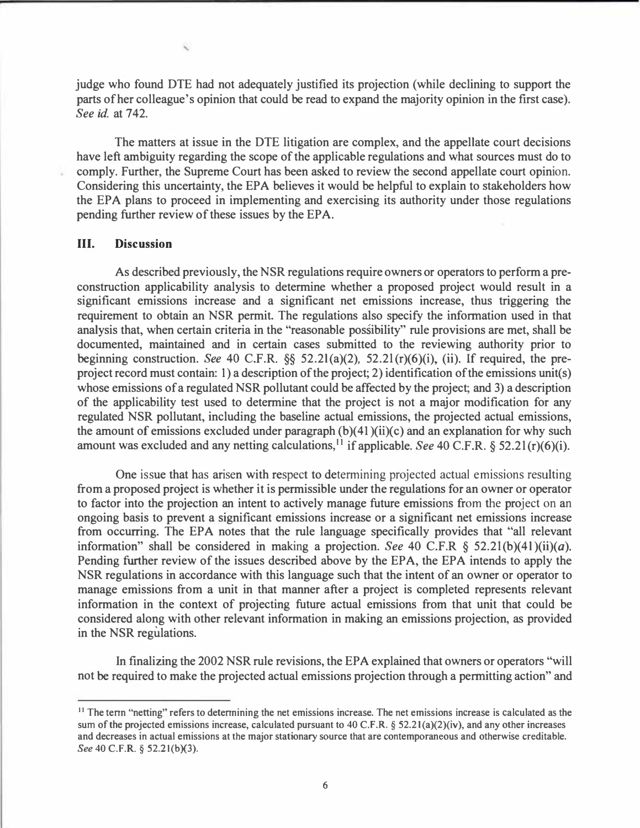**judge who found DTE had not adequately justified its projection (while declining to support the parts of her colleague's opinion that could be read to expand the majority opinion in the first case).**  *See id.* **at 742.** 

**The matters at issue in the DTE litigation are complex, and the appellate court decisions have left ambiguity regarding the scope of the applicable regulations and what sources must do to comply. Further, the Supreme Court has been asked to review the second appellate court opinion. Considering this uncertainty, the EPA believes it would be helpful to explain to stakeholders how the EPA plans to proceed in implementing and exercising its authority under those regulations pending further review of these issues by the EPA.** 

#### **III. Discussion**

**As described previously, the NSR regulations require owners or operators to perform a preconstruction applicability analysis to determine whether a proposed project would result in a significant emissions increase and a significant net emissions increase, thus triggering the requirement to obtain an NSR permit. The regulations also specify the information used in that analysis that, when certain criteria in the "reasonable possibility" rule provisions are met, shall be documented, maintained and in certain cases submitted to the reviewing authority prior to beginning construction.** *See* **40 C.F.R.** *§§* **52.2l(a)(2), 52.2l (r)(6)(i), (ii). If required, the preproject record must contain: 1) a description of the project; 2) identification of the emissions unit(s) whose emissions of a regulated NSR pollutant could be affected by the project; and 3) a description of the applicability test used to determine that the project is not a major modification for any regulated NSR pollutant, including the baseline actual emissions, the projected actual emissions, the amount of emissions excluded under paragraph (b )( 41 )(ii)(c) and an explanation for why such**  amount was excluded and any netting calculations,<sup>11</sup> if applicable. *See* 40 C.F.R.  $\S$  52.21(r)(6)(i).

**One issue that has arisen with respect to determining projected actual emissions resulting from a proposed project is whether it is permissible under the regulations for an owner or operator to factor into the projection an intent to actively manage future emissions from the project on an ongoing basis to prevent a significant emissions increase or a significant net emissions increase from occurring. The EPA notes that the rule language specifically provides that "all relevant information**" shall be considered in making a projection. See 40 C.F.R  $\S$  52.21(b)(41)(ii)(a). **Pending further review of the issues described above by the EPA, the EPA intends to apply the NSR regulations in accordance with this language such that the intent of an owner or operator to manage emissions from a unit in that manner after a project is completed represents relevant information in the context of projecting future actual emissions from that unit that could be considered along with other relevant information in making an emissions projection, as provided in the NSR regulations.** 

**In finalizing the 2002 NSR rule revisions, the EPA explained that owners or operators "will not be required to make the projected actual emissions projection through a permitting action" and** 

<sup>&</sup>lt;sup>11</sup> The term "netting" refers to determining the net emissions increase. The net emissions increase is calculated as the sum of the projected emissions increase, calculated pursuant to 40 C.F.R. § 52.21(a)(2)(iv), and any other increases and decreases in actual emissions at the major stationary source that are contemporaneous and otherwise creditable. *See 40 C.F.R.* § 52.2 1(b)(3).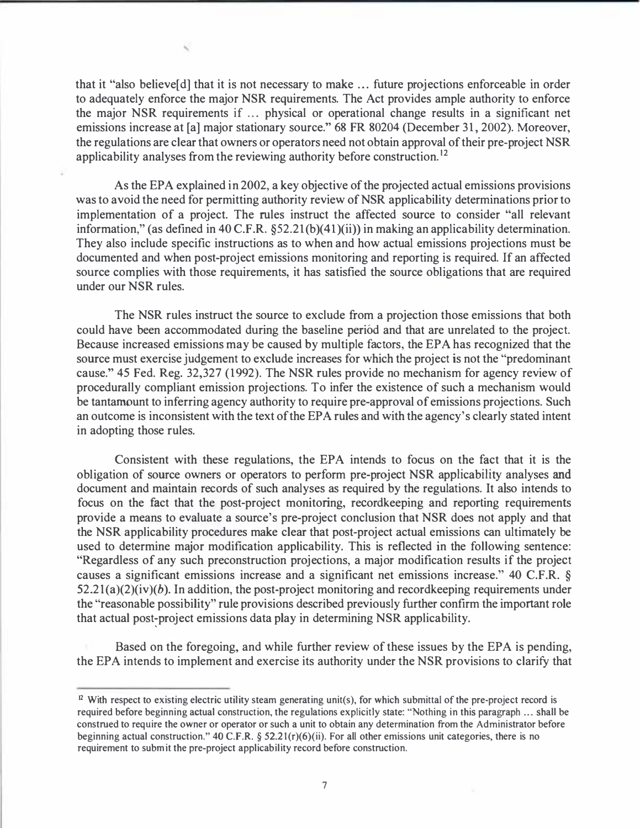that it "also believe[d] that it is not necessary to make ... future projections enforceable in order to adequately enforce the major NSR requirements. The Act provides ample authority to enforce the major NSR requirements if ... physical or operational change results in a significant net emissions increase at [a] major stationary source." 68 FR 80204 (December 31, 2002). Moreover, the regulations are clear that owners or operators need not obtain approval of their pre-project NSR applicability analyses from the reviewing authority before construction. <sup>12</sup>

As the EPA explained in 2002, a key objective of the projected actual emissions provisions was to avoid the need for permitting authority review of NSR applicability determinations prior to implementation of a project. The rules instruct the affected source to consider "all relevant information," (as defined in 40 C.F.R. §52.21(b)(41)(ii)) in making an applicability determination. They also include specific instructions as to when and how actual emissions projections must be documented and when post-project emissions monitoring and reporting is required. If an affected source complies with those requirements, it has satisfied the source obligations that are required under our NSR rules.

The NSR rules instruct the source to exclude from a projection those emissions that both could have been accommodated during the baseline period and that are unrelated to the project. Because increased emissions may be caused by multiple factors, the EPA has recognized that the source must exercise judgement to exclude increases for which the project is not the "predominant cause." 45 Fed. Reg. 32,327 (1992). The NSR rules provide no mechanism for agency review of procedurally compliant emission projections. To infer the existence of such a mechanism would be tantamount to inferring agency authority to require pre-approval of emissions projections. Such an outcome is inconsistent with the text of the EPA rules and with the agency's clearly stated intent in adopting those rules.

Consistent with these regulations, the EPA intends to focus on the fact that it is the obligation of source owners or operators to perform pre-project NSR applicability analyses and document and maintain records of such analyses as required by the regulations. It also intends to focus on the fact that the post-project monitoring, recordkeeping and reporting requirements provide a means to evaluate a source's pre-project conclusion that NSR does not apply and that the NSR applicability procedures make clear that post-project actual emissions can ultimately be used to determine major modification applicability. This is reflected in the following sentence: "Regardless of any such preconstruction projections, a major modification results if the project causes a significant emissions increase and a significant net emissions increase." 40 C.F.R. §  $52.21(a)(2)(iv)(b)$ . In addition, the post-project monitoring and record keeping requirements under the "reasonable possibility" rule provisions described previously further confirm the important role that actual post-project emissions data play in determining NSR applicability.

Based on the foregoing, and while further review of these issues by the EPA is pending, the EPA intends to implement and exercise its authority under the NSR provisions to clarify that

<sup>&</sup>lt;sup>12</sup> With respect to existing electric utility steam generating unit(s), for which submittal of the pre-project record is required before beginning actual construction, the regulations explicitly state: "Nothing in this paragraph ... shall be construed to require the owner or operator or such a unit to obtain any determination from the Administrator before beginning actual construction." 40 C.F.R. § 52.21(r)(6)(ii). For all other emissions unit categories, there is no requirement to submit the pre-project applicability record before construction.